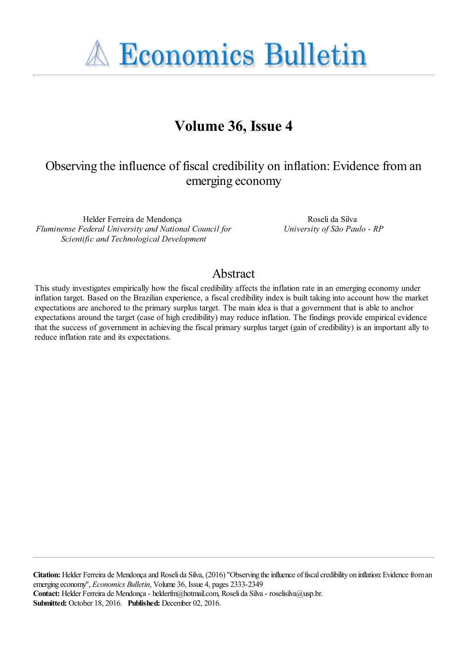**A Economics Bulletin** 

## **Volume 36, Issue 4**

## Observing the influence of fiscal credibility on inflation: Evidence from an emerging economy

Helder Ferreira de Mendonça *Fluminense Federal University and National Council for Scientific and Technological Development*

Roseli da Silva *University of São Paulo - RP*

### Abstract

This study investigates empirically how the fiscal credibility affects the inflation rate in an emerging economy under inflation target. Based on the Brazilian experience, a fiscal credibility index is built taking into account how the market expectations are anchored to the primary surplus target. The main idea is that a government that is able to anchor expectations around the target (case of high credibility) may reduce inflation. The findings provide empirical evidence that the success of government in achieving the fiscal primary surplus target (gain of credibility) is an important ally to reduce inflation rate and its expectations.

**Citation:** Helder Ferreira de Mendonça and Roseli da Silva, (2016) ''Observing the influence of fiscal credibility on inflation: Evidence from an emerging economy'', *Economics Bulletin*, Volume 36, Issue 4, pages 2333-2349 **Contact:** Helder Ferreira de Mendonça - helderfm@hotmail.com, Roseli da Silva - roselisilva@usp.br. **Submitted:** October 18, 2016. **Published:** December 02, 2016.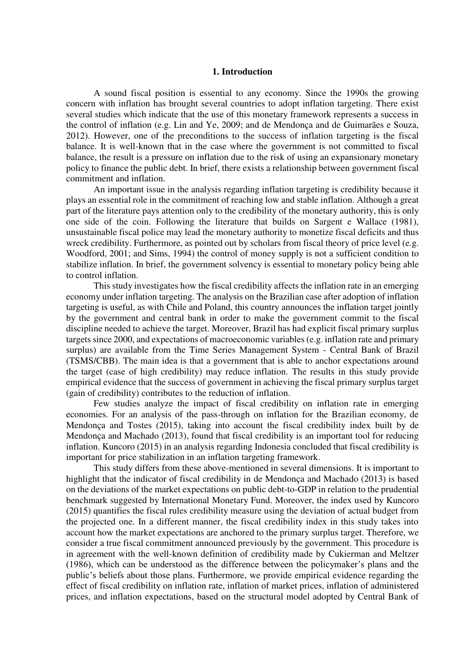#### **1. Introduction**

 A sound fiscal position is essential to any economy. Since the 1990s the growing concern with inflation has brought several countries to adopt inflation targeting. There exist several studies which indicate that the use of this monetary framework represents a success in the control of inflation (e.g. Lin and Ye, 2009; and de Mendonça and de Guimarães e Souza, 2012). However, one of the preconditions to the success of inflation targeting is the fiscal balance. It is well-known that in the case where the government is not committed to fiscal balance, the result is a pressure on inflation due to the risk of using an expansionary monetary policy to finance the public debt. In brief, there exists a relationship between government fiscal commitment and inflation.

 An important issue in the analysis regarding inflation targeting is credibility because it plays an essential role in the commitment of reaching low and stable inflation. Although a great part of the literature pays attention only to the credibility of the monetary authority, this is only one side of the coin. Following the literature that builds on Sargent e Wallace (1981), unsustainable fiscal police may lead the monetary authority to monetize fiscal deficits and thus wreck credibility. Furthermore, as pointed out by scholars from fiscal theory of price level (e.g. Woodford, 2001; and Sims, 1994) the control of money supply is not a sufficient condition to stabilize inflation. In brief, the government solvency is essential to monetary policy being able to control inflation.

 This study investigates how the fiscal credibility affects the inflation rate in an emerging economy under inflation targeting. The analysis on the Brazilian case after adoption of inflation targeting is useful, as with Chile and Poland, this country announces the inflation target jointly by the government and central bank in order to make the government commit to the fiscal discipline needed to achieve the target. Moreover, Brazil has had explicit fiscal primary surplus targets since 2000, and expectations of macroeconomic variables (e.g. inflation rate and primary surplus) are available from the Time Series Management System - Central Bank of Brazil (TSMS/CBB). The main idea is that a government that is able to anchor expectations around the target (case of high credibility) may reduce inflation. The results in this study provide empirical evidence that the success of government in achieving the fiscal primary surplus target (gain of credibility) contributes to the reduction of inflation.

Few studies analyze the impact of fiscal credibility on inflation rate in emerging economies. For an analysis of the pass-through on inflation for the Brazilian economy, de Mendonça and Tostes (2015), taking into account the fiscal credibility index built by de Mendonça and Machado (2013), found that fiscal credibility is an important tool for reducing inflation. Kuncoro (2015) in an analysis regarding Indonesia concluded that fiscal credibility is important for price stabilization in an inflation targeting framework.

 This study differs from these above-mentioned in several dimensions. It is important to highlight that the indicator of fiscal credibility in de Mendonça and Machado (2013) is based on the deviations of the market expectations on public debt-to-GDP in relation to the prudential benchmark suggested by International Monetary Fund. Moreover, the index used by Kuncoro (2015) quantifies the fiscal rules credibility measure using the deviation of actual budget from the projected one. In a different manner, the fiscal credibility index in this study takes into account how the market expectations are anchored to the primary surplus target. Therefore, we consider a true fiscal commitment announced previously by the government. This procedure is in agreement with the well-known definition of credibility made by Cukierman and Meltzer (1986), which can be understood as the difference between the policymaker's plans and the public's beliefs about those plans. Furthermore, we provide empirical evidence regarding the effect of fiscal credibility on inflation rate, inflation of market prices, inflation of administered prices, and inflation expectations, based on the structural model adopted by Central Bank of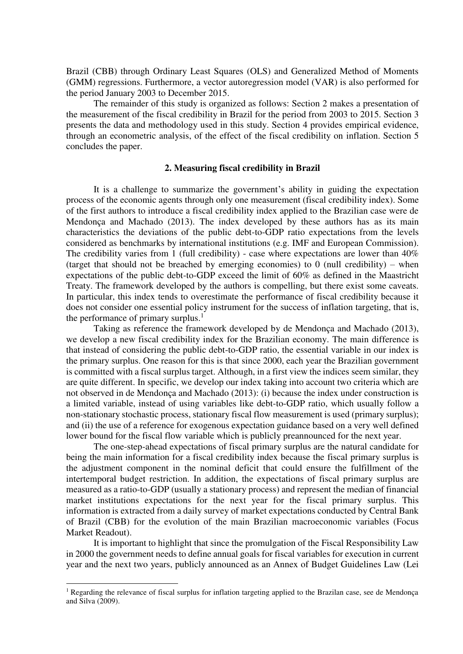Brazil (CBB) through Ordinary Least Squares (OLS) and Generalized Method of Moments (GMM) regressions. Furthermore, a vector autoregression model (VAR) is also performed for the period January 2003 to December 2015.

 The remainder of this study is organized as follows: Section 2 makes a presentation of the measurement of the fiscal credibility in Brazil for the period from 2003 to 2015. Section 3 presents the data and methodology used in this study. Section 4 provides empirical evidence, through an econometric analysis, of the effect of the fiscal credibility on inflation. Section 5 concludes the paper.

#### **2. Measuring fiscal credibility in Brazil**

 It is a challenge to summarize the government's ability in guiding the expectation process of the economic agents through only one measurement (fiscal credibility index). Some of the first authors to introduce a fiscal credibility index applied to the Brazilian case were de Mendonça and Machado (2013). The index developed by these authors has as its main characteristics the deviations of the public debt-to-GDP ratio expectations from the levels considered as benchmarks by international institutions (e.g. IMF and European Commission). The credibility varies from 1 (full credibility) - case where expectations are lower than  $40\%$ (target that should not be breached by emerging economies) to 0 (null credibility) – when expectations of the public debt-to-GDP exceed the limit of 60% as defined in the Maastricht Treaty. The framework developed by the authors is compelling, but there exist some caveats. In particular, this index tends to overestimate the performance of fiscal credibility because it does not consider one essential policy instrument for the success of inflation targeting, that is, the performance of primary surplus. $<sup>1</sup>$ </sup>

 Taking as reference the framework developed by de Mendonça and Machado (2013), we develop a new fiscal credibility index for the Brazilian economy. The main difference is that instead of considering the public debt-to-GDP ratio, the essential variable in our index is the primary surplus. One reason for this is that since 2000, each year the Brazilian government is committed with a fiscal surplus target. Although, in a first view the indices seem similar, they are quite different. In specific, we develop our index taking into account two criteria which are not observed in de Mendonça and Machado (2013): (i) because the index under construction is a limited variable, instead of using variables like debt-to-GDP ratio, which usually follow a non-stationary stochastic process, stationary fiscal flow measurement is used (primary surplus); and (ii) the use of a reference for exogenous expectation guidance based on a very well defined lower bound for the fiscal flow variable which is publicly preannounced for the next year.

 The one-step-ahead expectations of fiscal primary surplus are the natural candidate for being the main information for a fiscal credibility index because the fiscal primary surplus is the adjustment component in the nominal deficit that could ensure the fulfillment of the intertemporal budget restriction. In addition, the expectations of fiscal primary surplus are measured as a ratio-to-GDP (usually a stationary process) and represent the median of financial market institutions expectations for the next year for the fiscal primary surplus. This information is extracted from a daily survey of market expectations conducted by Central Bank of Brazil (CBB) for the evolution of the main Brazilian macroeconomic variables (Focus Market Readout).

 It is important to highlight that since the promulgation of the Fiscal Responsibility Law in 2000 the government needs to define annual goals for fiscal variables for execution in current year and the next two years, publicly announced as an Annex of Budget Guidelines Law (Lei

<sup>&</sup>lt;sup>1</sup> Regarding the relevance of fiscal surplus for inflation targeting applied to the Brazilan case, see de Mendonça and Silva (2009).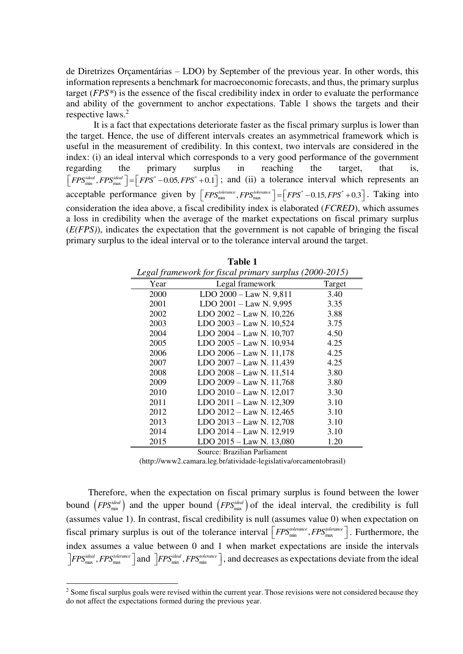de Diretrizes Orçamentárias – LDO) by September of the previous year. In other words, this information represents a benchmark for macroeconomic forecasts, and thus, the primary surplus target (*FPS\**) is the essence of the fiscal credibility index in order to evaluate the performance and ability of the government to anchor expectations. Table 1 shows the targets and their respective laws.<sup>2</sup>

 It is a fact that expectations deteriorate faster as the fiscal primary surplus is lower than the target. Hence, the use of different intervals creates an asymmetrical framework which is useful in the measurement of credibility. In this context, two intervals are considered in the index: (i) an ideal interval which corresponds to a very good performance of the government regarding the primary surplus in reaching the target, that is,  $\left[FPS_{min}^{ideal}, FPS_{max}^{ideal}\right] = \left[FPS^* - 0.05, FPS^* + 0.1\right]$ ; and (ii) a tolerance interval which represents an acceptable performance given by  $\left[{\textit{FPS}_{min}^{\textit{tolerance}}}, {\textit{FPS}_{max}^{\textit{tolerance}}}\right] = \left[{\textit{FPS}}^* - 0.15, {\textit{FPS}}^* + 0.3\right]$ . Taking into consideration the idea above, a fiscal credibility index is elaborated (*FCRED*), which assumes a loss in credibility when the average of the market expectations on fiscal primary surplus (*E(FPS)*), indicates the expectation that the government is not capable of bringing the fiscal primary surplus to the ideal interval or to the tolerance interval around the target.

| Legal framework for fiscal primary surplus (2000-2015) |                          |        |  |  |
|--------------------------------------------------------|--------------------------|--------|--|--|
| Year                                                   | Legal framework          | Target |  |  |
| 2000                                                   | LDO 2000 - Law N. 9,811  | 3.40   |  |  |
| 2001                                                   | LDO 2001 - Law N. 9,995  | 3.35   |  |  |
| 2002                                                   | LDO 2002 - Law N. 10,226 | 3.88   |  |  |
| 2003                                                   | LDO 2003 - Law N. 10,524 | 3.75   |  |  |
| 2004                                                   | LDO 2004 - Law N. 10,707 | 4.50   |  |  |
| 2005                                                   | LDO 2005 - Law N. 10,934 | 4.25   |  |  |
| 2006                                                   | LDO 2006 - Law N. 11,178 | 4.25   |  |  |
| 2007                                                   | LDO 2007 - Law N. 11,439 | 4.25   |  |  |
| 2008                                                   | LDO 2008 - Law N. 11,514 | 3.80   |  |  |
| 2009                                                   | LDO 2009 - Law N. 11,768 | 3.80   |  |  |
| 2010                                                   | LDO 2010 - Law N. 12,017 | 3.30   |  |  |
| 2011                                                   | LDO 2011 - Law N. 12,309 | 3.10   |  |  |
| 2012                                                   | LDO 2012 - Law N. 12,465 | 3.10   |  |  |
| 2013                                                   | LDO 2013 - Law N. 12,708 | 3.10   |  |  |
| 2014                                                   | LDO 2014 - Law N. 12,919 | 3.10   |  |  |
| 2015                                                   | LDO 2015 - Law N. 13,080 | 1.20   |  |  |

Source: Brazilian Parliament

(http://www2.camara.leg.br/atividade-legislativa/orcamentobrasil)

Therefore, when the expectation on fiscal primary surplus is found between the lower bound  $(FPS_{min}^{ideal})$  and the upper bound  $(FPS_{max}^{ideal})$  of the ideal interval, the credibility is full (assumes value 1). In contrast, fiscal credibility is null (assumes value 0) when expectation on fiscal primary surplus is out of the tolerance interval  $\left[$  *FPS*<sup>*tolerance*</sup>, *FPS<sup><i>tolerance*</sup></sup>,  $FPS_{\text{max}}^{tolerance}$ ,  $FPS_{\text{max}}^{tolerance}$ ,  $FPS_{\text{max}}^{tolerance}$ , the index assumes a value between 0 and 1 when market expectations are inside the intervals  $\frac{1}{2}$ *FPS*<sup>*ideal</sup></sup>,*  $FPS_{\text{max}}^{i\text{delernree}}$   $\frac{1}{2}$  and  $\frac{1}{2}$ *FPS*<sup>*ideal*</sup>,  $FPS_{\text{min}}^{i\text{delernree}}$ , and decreases as expectations deviate from the ideal</sup>

<sup>&</sup>lt;sup>2</sup> Some fiscal surplus goals were revised within the current year. Those revisions were not considered because they do not affect the expectations formed during the previous year.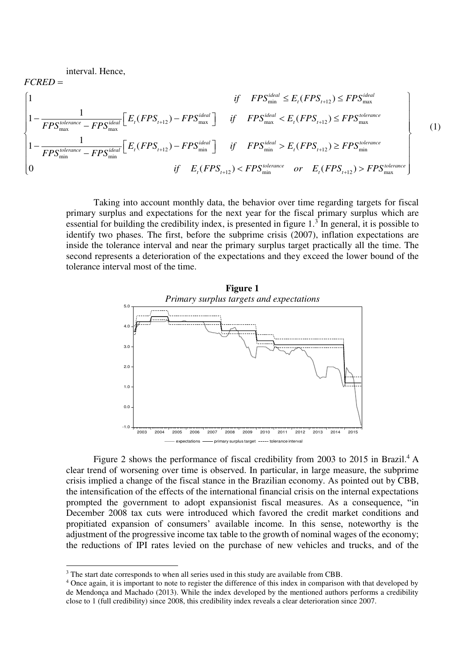interval. Hence,

 $\overline{a}$ 

$$
FCRED = \qquad \qquad \text{if} \quad FPS_{\text{min}}^{\text{ideal}} \leq E_{t}(FPS_{t+12}) \leq FPS_{\text{max}}^{\text{ideal}} \\ 1 - \frac{1}{FPS_{\text{max}}^{\text{tolerance}} - FPS_{\text{max}}^{\text{ideal}}}\bigg[ E_{t}(FPS_{t+12}) - FPS_{\text{max}}^{\text{ideal}} \bigg] \quad \text{if} \quad FPS_{\text{max}}^{\text{ideal}} < E_{t}(FPS_{t+12}) \leq FPS_{\text{max}}^{\text{tolerance}} \\ 1 - \frac{1}{FPS_{\text{min}}^{\text{tolerance}} - FPS_{\text{min}}^{\text{ideal}}}\bigg[ E_{t}(FPS_{t+12}) - FPS_{\text{min}}^{\text{ideal}} \bigg] \quad \text{if} \quad FPS_{\text{min}}^{\text{ideal}} > E_{t}(FPS_{t+12}) \geq FPS_{\text{min}}^{\text{tolerance}} \\ 0 \qquad \qquad \text{if} \quad E_{t}(FPS_{t+12}) < FPS_{\text{min}}^{\text{tolerance}} \quad \text{or} \quad E_{t}(FPS_{t+12}) > FPS_{\text{max}}^{\text{tolerance}} \bigg]
$$

 Taking into account monthly data, the behavior over time regarding targets for fiscal primary surplus and expectations for the next year for the fiscal primary surplus which are essential for building the credibility index, is presented in figure  $1<sup>3</sup>$  In general, it is possible to identify two phases. The first, before the subprime crisis (2007), inflation expectations are inside the tolerance interval and near the primary surplus target practically all the time. The second represents a deterioration of the expectations and they exceed the lower bound of the tolerance interval most of the time.



Figure 2 shows the performance of fiscal credibility from 2003 to 2015 in Brazil.<sup>4</sup> A clear trend of worsening over time is observed. In particular, in large measure, the subprime crisis implied a change of the fiscal stance in the Brazilian economy. As pointed out by CBB, the intensification of the effects of the international financial crisis on the internal expectations prompted the government to adopt expansionist fiscal measures. As a consequence, "in December 2008 tax cuts were introduced which favored the credit market conditions and propitiated expansion of consumers' available income. In this sense, noteworthy is the adjustment of the progressive income tax table to the growth of nominal wages of the economy; the reductions of IPI rates levied on the purchase of new vehicles and trucks, and of the

<sup>&</sup>lt;sup>3</sup> The start date corresponds to when all series used in this study are available from CBB.

<sup>&</sup>lt;sup>4</sup> Once again, it is important to note to register the difference of this index in comparison with that developed by de Mendonça and Machado (2013). While the index developed by the mentioned authors performs a credibility close to 1 (full credibility) since 2008, this credibility index reveals a clear deterioration since 2007.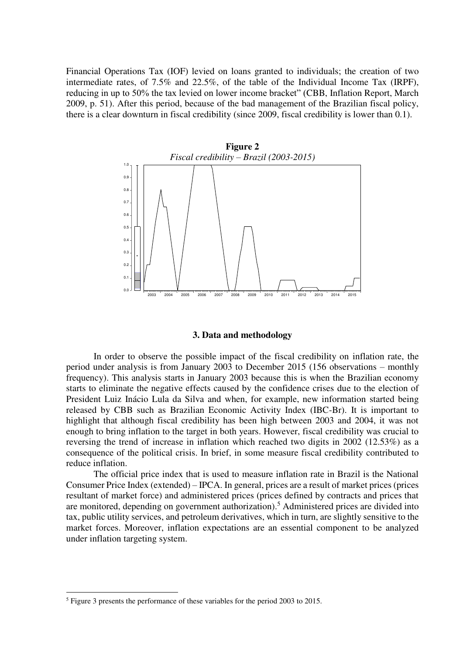Financial Operations Tax (IOF) levied on loans granted to individuals; the creation of two intermediate rates, of 7.5% and 22.5%, of the table of the Individual Income Tax (IRPF), reducing in up to 50% the tax levied on lower income bracket" (CBB, Inflation Report, March 2009, p. 51). After this period, because of the bad management of the Brazilian fiscal policy, there is a clear downturn in fiscal credibility (since 2009, fiscal credibility is lower than 0.1).



#### **3. Data and methodology**

 In order to observe the possible impact of the fiscal credibility on inflation rate, the period under analysis is from January 2003 to December 2015 (156 observations – monthly frequency). This analysis starts in January 2003 because this is when the Brazilian economy starts to eliminate the negative effects caused by the confidence crises due to the election of President Luiz Inácio Lula da Silva and when, for example, new information started being released by CBB such as Brazilian Economic Activity Index (IBC-Br). It is important to highlight that although fiscal credibility has been high between 2003 and 2004, it was not enough to bring inflation to the target in both years. However, fiscal credibility was crucial to reversing the trend of increase in inflation which reached two digits in 2002 (12.53%) as a consequence of the political crisis. In brief, in some measure fiscal credibility contributed to reduce inflation.

The official price index that is used to measure inflation rate in Brazil is the National Consumer Price Index (extended) – IPCA. In general, prices are a result of market prices (prices resultant of market force) and administered prices (prices defined by contracts and prices that are monitored, depending on government authorization).<sup>5</sup> Administered prices are divided into tax, public utility services, and petroleum derivatives, which in turn, are slightly sensitive to the market forces. Moreover, inflation expectations are an essential component to be analyzed under inflation targeting system.

<sup>&</sup>lt;sup>5</sup> Figure 3 presents the performance of these variables for the period 2003 to 2015.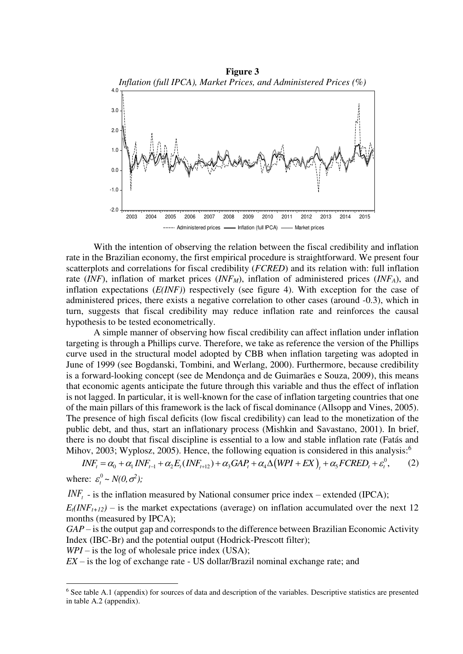

With the intention of observing the relation between the fiscal credibility and inflation rate in the Brazilian economy, the first empirical procedure is straightforward. We present four scatterplots and correlations for fiscal credibility (*FCRED*) and its relation with: full inflation rate (*INF*), inflation of market prices (*INFM*), inflation of administered prices (*INFA*), and inflation expectations (*E(INF)*) respectively (see figure 4). With exception for the case of administered prices, there exists a negative correlation to other cases (around -0.3), which in turn, suggests that fiscal credibility may reduce inflation rate and reinforces the causal hypothesis to be tested econometrically.

 A simple manner of observing how fiscal credibility can affect inflation under inflation targeting is through a Phillips curve. Therefore, we take as reference the version of the Phillips curve used in the structural model adopted by CBB when inflation targeting was adopted in June of 1999 (see Bogdanski, Tombini, and Werlang, 2000). Furthermore, because credibility is a forward-looking concept (see de Mendonça and de Guimarães e Souza, 2009), this means that economic agents anticipate the future through this variable and thus the effect of inflation is not lagged. In particular, it is well-known for the case of inflation targeting countries that one of the main pillars of this framework is the lack of fiscal dominance (Allsopp and Vines, 2005). The presence of high fiscal deficits (low fiscal credibility) can lead to the monetization of the public debt, and thus, start an inflationary process (Mishkin and Savastano, 2001). In brief, there is no doubt that fiscal discipline is essential to a low and stable inflation rate (Fatás and Mihov, 2003; Wyplosz, 2005). Hence, the following equation is considered in this analysis:<sup>6</sup>

 $INF_t = \alpha_0 + \alpha_1 INF_{t-1} + \alpha_2 E_t (INF_{t+12}) + \alpha_3 GAP_t + \alpha_4 \Delta (WPI + EX)_t + \alpha_5 FCRED_t + \varepsilon_t^0$ , (2) where:  $\varepsilon_t^0 \sim N(0, \sigma^2)$ ;

 $I\!N\!F_t$  - is the inflation measured by National consumer price index – extended (IPCA);

 $E_t(NF_{t+12})$  – is the market expectations (average) on inflation accumulated over the next 12 months (measured by IPCA);

*GAP* – is the output gap and corresponds to the difference between Brazilian Economic Activity Index (IBC-Br) and the potential output (Hodrick-Prescott filter);

*WPI* – is the log of wholesale price index (USA);

 $\overline{a}$ 

*EX* – is the log of exchange rate - US dollar/Brazil nominal exchange rate; and

<sup>&</sup>lt;sup>6</sup> See table A.1 (appendix) for sources of data and description of the variables. Descriptive statistics are presented in table A.2 (appendix).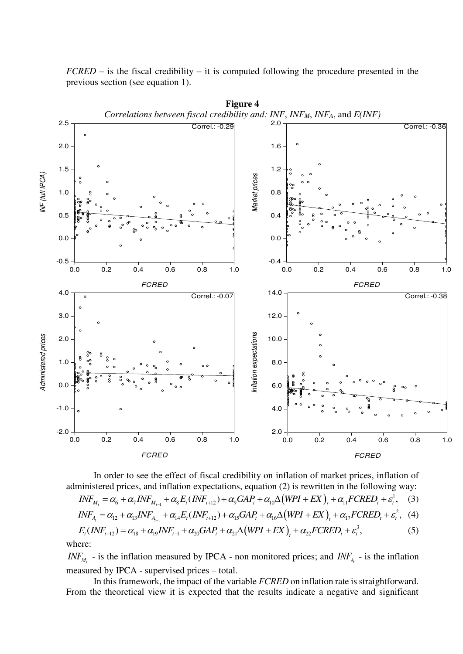*FCRED* – is the fiscal credibility – it is computed following the procedure presented in the previous section (see equation 1).



In order to see the effect of fiscal credibility on inflation of market prices, inflation of administered prices, and inflation expectations, equation (2) is rewritten in the following way:

$$
INF_{M_t} = \alpha_6 + \alpha_7 INF_{M_{t-1}} + \alpha_8 E_t (INF_{t+12}) + \alpha_9 GAP_t + \alpha_{10} \Delta (WPI + EX)_t + \alpha_{11} FCRED_t + \varepsilon_t^1, \quad (3)
$$

$$
INF_{A_{t}} = \alpha_{12} + \alpha_{13} INF_{A_{t-1}} + \alpha_{14} E_{t}(INF_{t+12}) + \alpha_{15} GAP_{t} + \alpha_{16} \Delta (WPI + EX)_{t} + \alpha_{17} FCRED_{t} + \varepsilon_{t}^{2}, \quad (4)
$$

$$
E_t(INF_{t+12}) = \alpha_{18} + \alpha_{19}INF_{t-1} + \alpha_{20} GAP_t + \alpha_{21} \Delta(WPI + EX)_t + \alpha_{22} FCRED_t + \varepsilon_t^3,
$$
\n(5) where:

*INF<sub>M<sub>t</sub>*</sub> - is the inflation measured by IPCA - non monitored prices; and *INF<sub>A</sub>* - is the inflation measured by IPCA - supervised prices – total.

In this framework, the impact of the variable *FCRED* on inflation rate is straightforward. From the theoretical view it is expected that the results indicate a negative and significant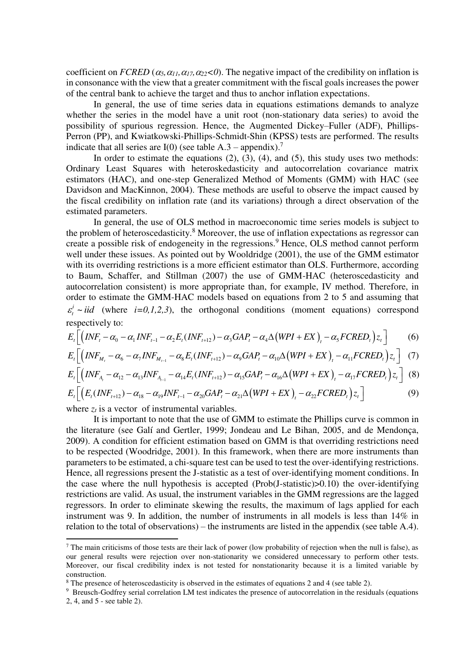coefficient on *FCRED* ( $\alpha_5$ , $\alpha_{11}$ , $\alpha_{17}$ , $\alpha_{22}$ <0). The negative impact of the credibility on inflation is in consonance with the view that a greater commitment with the fiscal goals increases the power of the central bank to achieve the target and thus to anchor inflation expectations.

 In general, the use of time series data in equations estimations demands to analyze whether the series in the model have a unit root (non-stationary data series) to avoid the possibility of spurious regression. Hence, the Augmented Dickey–Fuller (ADF), Phillips-Perron (PP), and Kwiatkowski-Phillips-Schmidt-Shin (KPSS) tests are performed. The results indicate that all series are I(0) (see table  $A.3$  – appendix).<sup>7</sup>

In order to estimate the equations  $(2)$ ,  $(3)$ ,  $(4)$ , and  $(5)$ , this study uses two methods: Ordinary Least Squares with heteroskedasticity and autocorrelation covariance matrix estimators (HAC), and one-step Generalized Method of Moments (GMM) with HAC (see Davidson and MacKinnon, 2004). These methods are useful to observe the impact caused by the fiscal credibility on inflation rate (and its variations) through a direct observation of the estimated parameters.

In general, the use of OLS method in macroeconomic time series models is subject to the problem of heteroscedasticity.<sup>8</sup> Moreover, the use of inflation expectations as regressor can create a possible risk of endogeneity in the regressions.<sup>9</sup> Hence, OLS method cannot perform well under these issues. As pointed out by Wooldridge (2001), the use of the GMM estimator with its overriding restrictions is a more efficient estimator than OLS. Furthermore, according to Baum, Schaffer, and Stillman (2007) the use of GMM-HAC (heteroscedasticity and autocorrelation consistent) is more appropriate than, for example, IV method. Therefore, in order to estimate the GMM-HAC models based on equations from 2 to 5 and assuming that ~ *i*  $\varepsilon_t^i \sim \textit{iid}$  (where *i*=0,1,2,3), the orthogonal conditions (moment equations) correspond respectively to:

$$
E_t \left[ \left( INF_t - \alpha_0 - \alpha_1 INF_{t-1} - \alpha_2 E_t (INF_{t+12}) - \alpha_3 GAP_t - \alpha_4 \Delta (WPI + EX)_{t} - \alpha_5 FCRED_t \right) z_t \right] \tag{6}
$$

$$
E_t\left[\left(INF_{M_t} - \alpha_6 - \alpha_7 INF_{M_{t-1}} - \alpha_8 E_t (INF_{t+12}) - \alpha_9 GAP_t - \alpha_{10}\Delta (WPI + EX)_t - \alpha_{11} FCRED_t\right)z_t\right] \tag{7}
$$

$$
E_t \left[ \left( INF_{A_t} - \alpha_{12} - \alpha_{13} INF_{A_{t-1}} - \alpha_{14} E_t (INF_{t+12}) - \alpha_{15} GAP_t - \alpha_{16} \Delta (WPI + EX)_{t} - \alpha_{17} FCRED_t \right) z_t \right] (8)
$$

$$
E_{t}\left[\left(E_{t}(INF_{t+12})-\alpha_{18}-\alpha_{19}INF_{t-1}-\alpha_{20}GAP_{t}-\alpha_{21}\Delta\left(WPI+EX\right),-\alpha_{22}FCRED_{t}\right)z_{t}\right]
$$
\n(9)

where  $z_t$  is a vector of instrumental variables.

 $\overline{a}$ 

It is important to note that the use of GMM to estimate the Phillips curve is common in the literature (see Galí and Gertler, 1999; Jondeau and Le Bihan, 2005, and de Mendonça, 2009). A condition for efficient estimation based on GMM is that overriding restrictions need to be respected (Woodridge, 2001). In this framework, when there are more instruments than parameters to be estimated, a chi-square test can be used to test the over-identifying restrictions. Hence, all regressions present the J-statistic as a test of over-identifying moment conditions. In the case where the null hypothesis is accepted (Prob(J-statistic)>0.10) the over-identifying restrictions are valid. As usual, the instrument variables in the GMM regressions are the lagged regressors. In order to eliminate skewing the results, the maximum of lags applied for each instrument was 9. In addition, the number of instruments in all models is less than 14% in relation to the total of observations) – the instruments are listed in the appendix (see table A.4).

 $<sup>7</sup>$  The main criticisms of those tests are their lack of power (low probability of rejection when the null is false), as</sup> our general results were rejection over non-stationarity we considered unnecessary to perform other tests. Moreover, our fiscal credibility index is not tested for nonstationarity because it is a limited variable by construction.

<sup>&</sup>lt;sup>8</sup> The presence of heteroscedasticity is observed in the estimates of equations 2 and 4 (see table 2).

<sup>9</sup> Breusch-Godfrey serial correlation LM test indicates the presence of autocorrelation in the residuals (equations 2, 4, and 5 - see table 2).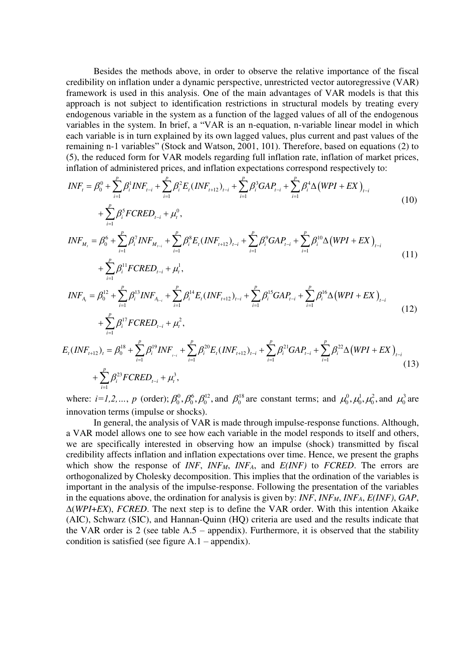Besides the methods above, in order to observe the relative importance of the fiscal credibility on inflation under a dynamic perspective, unrestricted vector autoregressive (VAR) framework is used in this analysis. One of the main advantages of VAR models is that this approach is not subject to identification restrictions in structural models by treating every endogenous variable in the system as a function of the lagged values of all of the endogenous variables in the system. In brief, a "VAR is an n-equation, n-variable linear model in which each variable is in turn explained by its own lagged values, plus current and past values of the remaining n-1 variables" (Stock and Watson, 2001, 101). Therefore, based on equations (2) to (5), the reduced form for VAR models regarding full inflation rate, inflation of market prices, inflation of administered prices, and inflation expectations correspond respectively to:

$$
INF_{t} = \beta_0^0 + \sum_{i=1}^{p} \beta_i^1 INF_{t-i} + \sum_{i=1}^{p} \beta_i^2 E_t (INF_{t+12})_{t-i} + \sum_{i=1}^{p} \beta_i^3 GAP_{t-i} + \sum_{i=1}^{p} \beta_i^4 \Delta (WPI + EX)_{t-i}
$$
  
+ 
$$
\sum_{i=1}^{p} \beta_i^5 FCRED_{t-i} + \mu_t^0,
$$
 (10)

$$
INF_{M_t} = \beta_0^6 + \sum_{i=1}^p \beta_i^7 INF_{M_{t-i}} + \sum_{i=1}^p \beta_i^8 E_t (INF_{t+12})_{t-i} + \sum_{i=1}^p \beta_i^9 GAP_{t-i} + \sum_{i=1}^p \beta_i^{10} \Delta (WPI + EX)_{t-i}
$$
  
+ 
$$
\sum_{i=1}^p \beta_i^{11} FCRED_{t-i} + \mu_t^1,
$$
 (11)

$$
INF_{A_i} = \beta_0^{12} + \sum_{i=1}^p \beta_i^{13} INF_{A_{i-i}} + \sum_{i=1}^p \beta_i^{14} E_i (INF_{i+12})_{i-i} + \sum_{i=1}^p \beta_i^{15} GAP_{i-i} + \sum_{i=1}^p \beta_i^{16} \Delta (WPI + EX)_{i-i} + \sum_{i=1}^p \beta_i^{17} FCRED_{i-i} + \mu_i^2,
$$
\n(12)

$$
E_{t}(INF_{t+12})_{t} = \beta_{0}^{18} + \sum_{i=1}^{p} \beta_{i}^{19} INF_{t-i} + \sum_{i=1}^{p} \beta_{i}^{20} E_{t}(INF_{t+12})_{t-i} + \sum_{i=1}^{p} \beta_{i}^{21} GAP_{t-i} + \sum_{i=1}^{p} \beta_{i}^{22} \Delta (WPI + EX)_{t-i}
$$
\n
$$
+ \sum_{i=1}^{p} \beta_{i}^{23} FCRED_{t-i} + \mu_{t}^{3},
$$
\n(13)

where:  $i=1,2,..., p$  (order);  $\beta_0^0$ ,  $\beta_0^6$ ,  $\beta_0^{12}$ , and  $\beta_0^{18}$  are constant terms; and  $\mu_0^0$ ,  $\mu_0^1$ ,  $\mu_0^2$ , and  $\mu_0^3$  are innovation terms (impulse or shocks).

In general, the analysis of VAR is made through impulse-response functions. Although, a VAR model allows one to see how each variable in the model responds to itself and others, we are specifically interested in observing how an impulse (shock) transmitted by fiscal credibility affects inflation and inflation expectations over time. Hence, we present the graphs which show the response of *INF*, *INFM*, *INFA*, and *E(INF)* to *FCRED*. The errors are orthogonalized by Cholesky decomposition. This implies that the ordination of the variables is important in the analysis of the impulse-response. Following the presentation of the variables in the equations above, the ordination for analysis is given by: *INF*, *INFM*, *INFA*, *E(INF)*, *GAP*, (*WPI*+*EX*), *FCRED*. The next step is to define the VAR order. With this intention Akaike (AIC), Schwarz (SIC), and Hannan-Quinn (HQ) criteria are used and the results indicate that the VAR order is 2 (see table  $A.5$  – appendix). Furthermore, it is observed that the stability condition is satisfied (see figure  $A.1$  – appendix).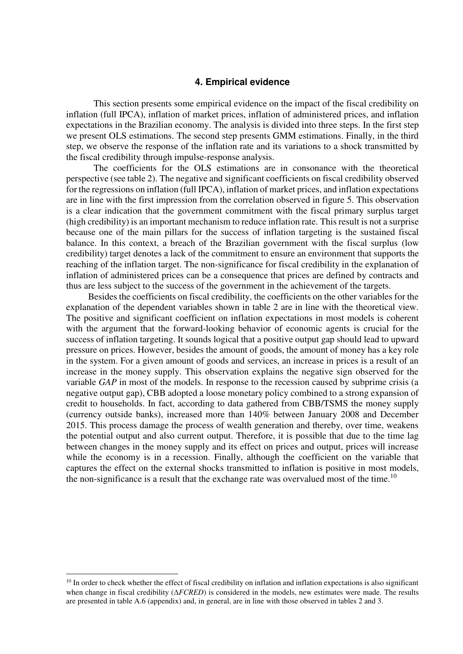#### **4. Empirical evidence**

This section presents some empirical evidence on the impact of the fiscal credibility on inflation (full IPCA), inflation of market prices, inflation of administered prices, and inflation expectations in the Brazilian economy. The analysis is divided into three steps. In the first step we present OLS estimations. The second step presents GMM estimations. Finally, in the third step, we observe the response of the inflation rate and its variations to a shock transmitted by the fiscal credibility through impulse-response analysis.

The coefficients for the OLS estimations are in consonance with the theoretical perspective (see table 2). The negative and significant coefficients on fiscal credibility observed for the regressions on inflation (full IPCA), inflation of market prices, and inflation expectations are in line with the first impression from the correlation observed in figure 5. This observation is a clear indication that the government commitment with the fiscal primary surplus target (high credibility) is an important mechanism to reduce inflation rate. This result is not a surprise because one of the main pillars for the success of inflation targeting is the sustained fiscal balance. In this context, a breach of the Brazilian government with the fiscal surplus (low credibility) target denotes a lack of the commitment to ensure an environment that supports the reaching of the inflation target. The non-significance for fiscal credibility in the explanation of inflation of administered prices can be a consequence that prices are defined by contracts and thus are less subject to the success of the government in the achievement of the targets.

Besides the coefficients on fiscal credibility, the coefficients on the other variables for the explanation of the dependent variables shown in table 2 are in line with the theoretical view. The positive and significant coefficient on inflation expectations in most models is coherent with the argument that the forward-looking behavior of economic agents is crucial for the success of inflation targeting. It sounds logical that a positive output gap should lead to upward pressure on prices. However, besides the amount of goods, the amount of money has a key role in the system. For a given amount of goods and services, an increase in prices is a result of an increase in the money supply. This observation explains the negative sign observed for the variable *GAP* in most of the models. In response to the recession caused by subprime crisis (a negative output gap), CBB adopted a loose monetary policy combined to a strong expansion of credit to households. In fact, according to data gathered from CBB/TSMS the money supply (currency outside banks), increased more than 140% between January 2008 and December 2015. This process damage the process of wealth generation and thereby, over time, weakens the potential output and also current output. Therefore, it is possible that due to the time lag between changes in the money supply and its effect on prices and output, prices will increase while the economy is in a recession. Finally, although the coefficient on the variable that captures the effect on the external shocks transmitted to inflation is positive in most models, the non-significance is a result that the exchange rate was overvalued most of the time.<sup>10</sup>

 $10$  In order to check whether the effect of fiscal credibility on inflation and inflation expectations is also significant when change in fiscal credibility ( $\triangle FCRED$ ) is considered in the models, new estimates were made. The results are presented in table A.6 (appendix) and, in general, are in line with those observed in tables 2 and 3.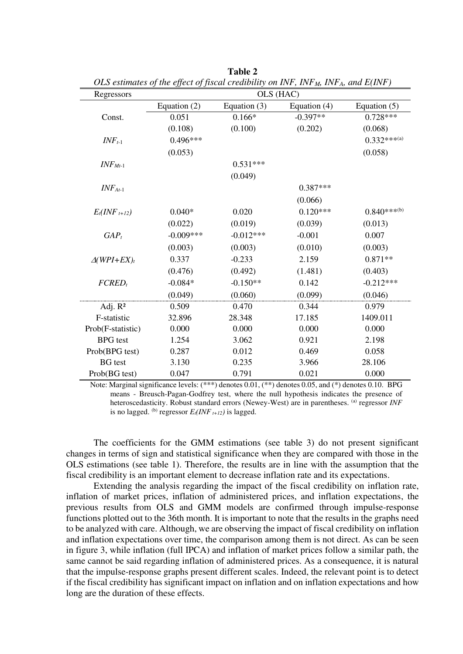| Regressors         | $\mu$ commutes by the effect by fiscular creationity on 11 (1), 11 (1), 11 (1), and $D(11,1)$<br>OLS (HAC) |                |                |                           |  |  |
|--------------------|------------------------------------------------------------------------------------------------------------|----------------|----------------|---------------------------|--|--|
|                    | Equation (2)                                                                                               | Equation $(3)$ | Equation $(4)$ | Equation $(5)$            |  |  |
| Const.             | 0.051                                                                                                      | $0.166*$       | $-0.397**$     | $0.728***$                |  |  |
|                    | (0.108)                                                                                                    | (0.100)        | (0.202)        | (0.068)                   |  |  |
| $INF_{t-1}$        | $0.496***$                                                                                                 |                |                | $0.332***^{(a)}$          |  |  |
|                    | (0.053)                                                                                                    |                |                | (0.058)                   |  |  |
| $INFMt-1$          |                                                                                                            | $0.531***$     |                |                           |  |  |
|                    |                                                                                                            | (0.049)        |                |                           |  |  |
| $INF_{At-1}$       |                                                                                                            |                | $0.387***$     |                           |  |  |
|                    |                                                                                                            |                | (0.066)        |                           |  |  |
| $E_t(NF_{t+12})$   | $0.040*$                                                                                                   | 0.020          | $0.120***$     | $0.840***$ <sup>(b)</sup> |  |  |
|                    | (0.022)                                                                                                    | (0.019)        | (0.039)        | (0.013)                   |  |  |
| $GAP_t$            | $-0.009***$                                                                                                | $-0.012***$    | $-0.001$       | 0.007                     |  |  |
|                    | (0.003)                                                                                                    | (0.003)        | (0.010)        | (0.003)                   |  |  |
| $\Delta(WPI+EX)_t$ | 0.337                                                                                                      | $-0.233$       | 2.159          | $0.871**$                 |  |  |
|                    | (0.476)                                                                                                    | (0.492)        | (1.481)        | (0.403)                   |  |  |
| $FCRED_t$          | $-0.084*$                                                                                                  | $-0.150**$     | 0.142          | $-0.212***$               |  |  |
|                    | (0.049)                                                                                                    | (0.060)        | (0.099)        | (0.046)                   |  |  |
| Adj. $R^2$         | 0.509                                                                                                      | 0.470          | 0.344          | 0.979                     |  |  |
| F-statistic        | 32.896                                                                                                     | 28.348         | 17.185         | 1409.011                  |  |  |
| Prob(F-statistic)  | 0.000                                                                                                      | 0.000          | 0.000          | 0.000                     |  |  |
| <b>BPG</b> test    | 1.254                                                                                                      | 3.062          | 0.921          | 2.198                     |  |  |
| Prob(BPG test)     | 0.287                                                                                                      | 0.012          | 0.469          | 0.058                     |  |  |
| <b>BG</b> test     | 3.130                                                                                                      | 0.235          | 3.966          | 28.106                    |  |  |
| Prob(BG test)      | 0.047                                                                                                      | 0.791          | 0.021          | 0.000                     |  |  |

**Table 2**  *OLS estimates of the effect of fiscal credibility on INF, INFM, INFA, and E(INF)*

 Note: Marginal significance levels: (\*\*\*) denotes 0.01, (\*\*) denotes 0.05, and (\*) denotes 0.10. BPG means - Breusch-Pagan-Godfrey test, where the null hypothesis indicates the presence of heteroscedasticity. Robust standard errors (Newey-West) are in parentheses. <sup>(a)</sup> regressor *INF* is no lagged. (b) regressor  $E_t(INF_{t+12})$  is lagged.

The coefficients for the GMM estimations (see table 3) do not present significant changes in terms of sign and statistical significance when they are compared with those in the OLS estimations (see table 1). Therefore, the results are in line with the assumption that the fiscal credibility is an important element to decrease inflation rate and its expectations.

Extending the analysis regarding the impact of the fiscal credibility on inflation rate, inflation of market prices, inflation of administered prices, and inflation expectations, the previous results from OLS and GMM models are confirmed through impulse-response functions plotted out to the 36th month. It is important to note that the results in the graphs need to be analyzed with care. Although, we are observing the impact of fiscal credibility on inflation and inflation expectations over time, the comparison among them is not direct. As can be seen in figure 3, while inflation (full IPCA) and inflation of market prices follow a similar path, the same cannot be said regarding inflation of administered prices. As a consequence, it is natural that the impulse-response graphs present different scales. Indeed, the relevant point is to detect if the fiscal credibility has significant impact on inflation and on inflation expectations and how long are the duration of these effects.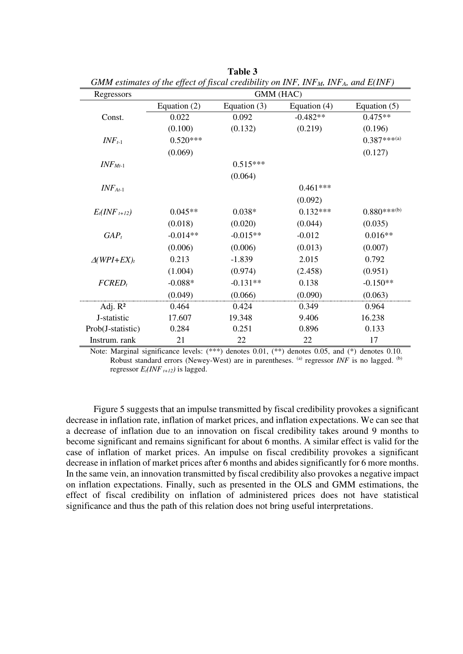| Regressors         | $\sigma$ of the commutes by the effect of fiscular creationity on IFCF, IFCF $\mu$ , IFCF $\mu$ , and $\mu$ (IFCF $\mu$<br>GMM (HAC) |                |                |                           |  |  |
|--------------------|--------------------------------------------------------------------------------------------------------------------------------------|----------------|----------------|---------------------------|--|--|
|                    | Equation $(2)$                                                                                                                       | Equation $(3)$ | Equation $(4)$ | Equation $(5)$            |  |  |
| Const.             | 0.022                                                                                                                                | 0.092          | $-0.482**$     | $0.475**$                 |  |  |
|                    | (0.100)                                                                                                                              | (0.132)        | (0.219)        | (0.196)                   |  |  |
| $INF_{t-1}$        | $0.520***$                                                                                                                           |                |                | $0.387***$ <sup>(a)</sup> |  |  |
|                    | (0.069)                                                                                                                              |                |                | (0.127)                   |  |  |
| $INF_{Mt-1}$       |                                                                                                                                      | $0.515***$     |                |                           |  |  |
|                    |                                                                                                                                      | (0.064)        |                |                           |  |  |
| $INF_{At-1}$       |                                                                                                                                      |                | $0.461***$     |                           |  |  |
|                    |                                                                                                                                      |                | (0.092)        |                           |  |  |
| $E_t(NF_{t+12})$   | $0.045**$                                                                                                                            | $0.038*$       | $0.132***$     | $0.880***$ <sup>(b)</sup> |  |  |
|                    | (0.018)                                                                                                                              | (0.020)        | (0.044)        | (0.035)                   |  |  |
| $GAP_t$            | $-0.014**$                                                                                                                           | $-0.015**$     | $-0.012$       | $0.016**$                 |  |  |
|                    | (0.006)                                                                                                                              | (0.006)        | (0.013)        | (0.007)                   |  |  |
| $\Delta(WPI+EX)_t$ | 0.213                                                                                                                                | $-1.839$       | 2.015          | 0.792                     |  |  |
|                    | (1.004)                                                                                                                              | (0.974)        | (2.458)        | (0.951)                   |  |  |
| $FCRED_t$          | $-0.088*$                                                                                                                            | $-0.131**$     | 0.138          | $-0.150**$                |  |  |
|                    | (0.049)                                                                                                                              | (0.066)        | (0.090)        | (0.063)                   |  |  |
| Adj. $R^2$         | 0.464                                                                                                                                | 0.424          | 0.349          | 0.964                     |  |  |
| J-statistic        | 17.607                                                                                                                               | 19.348         | 9.406          | 16.238                    |  |  |
| Prob(J-statistic)  | 0.284                                                                                                                                | 0.251          | 0.896          | 0.133                     |  |  |
| Instrum. rank      | 21                                                                                                                                   | 22             | 22             | 17                        |  |  |

**Table 3**  *GMM estimates of the effect of fiscal credibility on INF, INFM, INFA, and E(INF)* 

 Note: Marginal significance levels: (\*\*\*) denotes 0.01, (\*\*) denotes 0.05, and (\*) denotes 0.10. Robust standard errors (Newey-West) are in parentheses. <sup>(a)</sup> regressor *INF* is no lagged. <sup>(b)</sup> regressor  $E_t(NF_{t+12})$  is lagged.

Figure 5 suggests that an impulse transmitted by fiscal credibility provokes a significant decrease in inflation rate, inflation of market prices, and inflation expectations. We can see that a decrease of inflation due to an innovation on fiscal credibility takes around 9 months to become significant and remains significant for about 6 months. A similar effect is valid for the case of inflation of market prices. An impulse on fiscal credibility provokes a significant decrease in inflation of market prices after 6 months and abides significantly for 6 more months. In the same vein, an innovation transmitted by fiscal credibility also provokes a negative impact on inflation expectations. Finally, such as presented in the OLS and GMM estimations, the effect of fiscal credibility on inflation of administered prices does not have statistical significance and thus the path of this relation does not bring useful interpretations.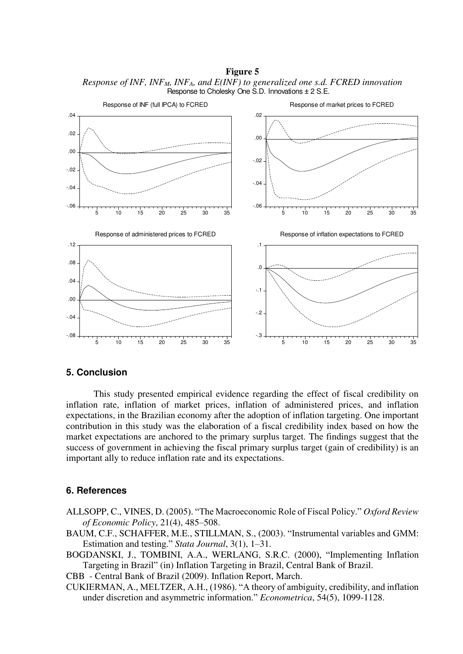-.06 -.04 -.02 .00 .02 .04 5 10 15 20 25 30 35 Response of INF (full IPCA) to FCRED -.06 -.04 -.02 .00 .02 5 10 15 20 25 30 35 Response of market prices to FCRED -.08 -.04 .00 .04 .08 .12 5 10 15 20 25 30 35 Response of administered prices to FCRED -.3 -.2 -.1 .0 .1 5 10 15 20 25 30 35 Response of inflation expectations to FCRED

**Figure 5**  *Response of INF, INFM, INFA, and E(INF) to generalized one s.d. FCRED innovation*  Response to Cholesky One S.D. Innovations ± 2 S.E.

#### **5. Conclusion**

 This study presented empirical evidence regarding the effect of fiscal credibility on inflation rate, inflation of market prices, inflation of administered prices, and inflation expectations, in the Brazilian economy after the adoption of inflation targeting. One important contribution in this study was the elaboration of a fiscal credibility index based on how the market expectations are anchored to the primary surplus target. The findings suggest that the success of government in achieving the fiscal primary surplus target (gain of credibility) is an important ally to reduce inflation rate and its expectations.

#### **6. References**

- ALLSOPP, C., VINES, D. (2005). "The Macroeconomic Role of Fiscal Policy." *Oxford Review of Economic Policy*, 21(4), 485–508.
- BAUM, C.F., SCHAFFER, M.E., STILLMAN, S., (2003). "Instrumental variables and GMM: Estimation and testing." *Stata Journal*, 3(1), 1–31.
- BOGDANSKI, J., TOMBINI, A.A., WERLANG, S.R.C. (2000), "Implementing Inflation Targeting in Brazil" (in) Inflation Targeting in Brazil, Central Bank of Brazil.

CBB - Central Bank of Brazil (2009). Inflation Report, March.

CUKIERMAN, A., MELTZER, A.H., (1986). "A theory of ambiguity, credibility, and inflation under discretion and asymmetric information." *Econometrica*, 54(5), 1099-1128.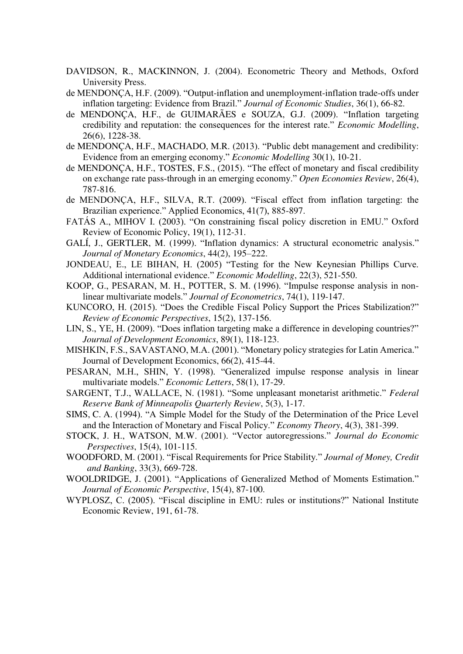- DAVIDSON, R., MACKINNON, J. (2004). Econometric Theory and Methods, Oxford University Press.
- de MENDONÇA, H.F. (2009). "Output-inflation and unemployment-inflation trade-offs under inflation targeting: Evidence from Brazil." *Journal of Economic Studies*, 36(1), 66-82.
- de MENDONÇA, H.F., de GUIMARÃES e SOUZA, G.J. (2009). "Inflation targeting credibility and reputation: the consequences for the interest rate." *Economic Modelling*, 26(6), 1228-38.
- de MENDONÇA, H.F., MACHADO, M.R. (2013). "Public debt management and credibility: Evidence from an emerging economy." *Economic Modelling* 30(1), 10-21.
- de MENDONÇA, H.F., TOSTES, F.S., (2015). "The effect of monetary and fiscal credibility on exchange rate pass-through in an emerging economy." *Open Economies Review*, 26(4), 787-816.
- de MENDONÇA, H.F., SILVA, R.T. (2009). "Fiscal effect from inflation targeting: the Brazilian experience." Applied Economics, 41(7), 885-897.
- FATÁS A., MIHOV I. (2003). "On constraining fiscal policy discretion in EMU." Oxford Review of Economic Policy, 19(1), 112-31.
- GALÍ, J., GERTLER, M. (1999). "Inflation dynamics: A structural econometric analysis." *Journal of Monetary Economics*, 44(2), 195–222.
- JONDEAU, E., LE BIHAN, H. (2005) "Testing for the New Keynesian Phillips Curve. Additional international evidence." *Economic Modelling*, 22(3), 521-550.
- KOOP, G., PESARAN, M. H., POTTER, S. M. (1996). "Impulse response analysis in nonlinear multivariate models." *Journal of Econometrics*, 74(1), 119-147.
- KUNCORO, H. (2015). "Does the Credible Fiscal Policy Support the Prices Stabilization?" *Review of Economic Perspectives*, 15(2), 137-156.
- LIN, S., YE, H. (2009). "Does inflation targeting make a difference in developing countries?" *Journal of Development Economics*, 89(1), 118-123.
- MISHKIN, F.S., SAVASTANO, M.A. (2001). "Monetary policy strategies for Latin America." Journal of Development Economics, 66(2), 415-44.
- PESARAN, M.H., SHIN, Y. (1998). "Generalized impulse response analysis in linear multivariate models." *Economic Letters*, 58(1), 17-29.
- SARGENT, T.J., WALLACE, N. (1981). "Some unpleasant monetarist arithmetic." *Federal Reserve Bank of Minneapolis Quarterly Review*, 5(3), 1-17.
- SIMS, C. A. (1994). "A Simple Model for the Study of the Determination of the Price Level and the Interaction of Monetary and Fiscal Policy." *Economy Theory*, 4(3), 381-399.
- STOCK, J. H., WATSON, M.W. (2001). "Vector autoregressions." *Journal do Economic Perspectives*, 15(4), 101-115.
- WOODFORD, M. (2001). "Fiscal Requirements for Price Stability." *Journal of Money, Credit and Banking*, 33(3), 669-728.
- WOOLDRIDGE, J. (2001). "Applications of Generalized Method of Moments Estimation." *Journal of Economic Perspective*, 15(4), 87-100.
- WYPLOSZ, C. (2005). "Fiscal discipline in EMU: rules or institutions?" National Institute Economic Review, 191, 61-78.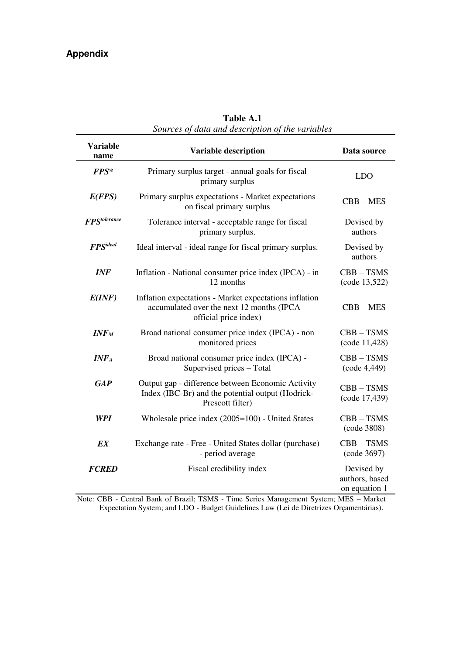|                                      | sources of aaid and description of the variables                                                                               |                                               |
|--------------------------------------|--------------------------------------------------------------------------------------------------------------------------------|-----------------------------------------------|
| <b>Variable</b><br>name              | <b>Variable description</b>                                                                                                    | Data source                                   |
| $\mathbf{F} \mathbf{P} \mathbf{S}^*$ | Primary surplus target - annual goals for fiscal<br>primary surplus                                                            | <b>LDO</b>                                    |
| E(FPS)                               | Primary surplus expectations - Market expectations<br>on fiscal primary surplus                                                | $CBB - MES$                                   |
| <b>FPStolerance</b>                  | Tolerance interval - acceptable range for fiscal<br>primary surplus.                                                           | Devised by<br>authors                         |
| <b>FPS</b> ideal                     | Ideal interval - ideal range for fiscal primary surplus.                                                                       | Devised by<br>authors                         |
| <b>INF</b>                           | Inflation - National consumer price index (IPCA) - in<br>12 months                                                             | $CBB - TSMS$<br>(code 13,522)                 |
| E(INF)                               | Inflation expectations - Market expectations inflation<br>accumulated over the next 12 months (IPCA -<br>official price index) | $CBB - MES$                                   |
| INF <sub>M</sub>                     | Broad national consumer price index (IPCA) - non<br>monitored prices                                                           | $CBB - TSMS$<br>(code 11,428)                 |
| $INF_A$                              | Broad national consumer price index (IPCA) -<br>Supervised prices - Total                                                      | $CBB - TSMS$<br>(code 4,449)                  |
| <b>GAP</b>                           | Output gap - difference between Economic Activity<br>Index (IBC-Br) and the potential output (Hodrick-<br>Prescott filter)     | $CBB - TSMS$<br>(code 17,439)                 |
| <b>WPI</b>                           | Wholesale price index (2005=100) - United States                                                                               | $CBB - TSMS$<br>(code 3808)                   |
| EX                                   | Exchange rate - Free - United States dollar (purchase)<br>- period average                                                     | $CBB - TSMS$<br>(code 3697)                   |
| <b>FCRED</b>                         | Fiscal credibility index                                                                                                       | Devised by<br>authors, based<br>on equation 1 |

**Table A.1**  *Sources of data and description of the variables* 

Note: CBB - Central Bank of Brazil; TSMS - Time Series Management System; MES – Market Expectation System; and LDO - Budget Guidelines Law (Lei de Diretrizes Orçamentárias).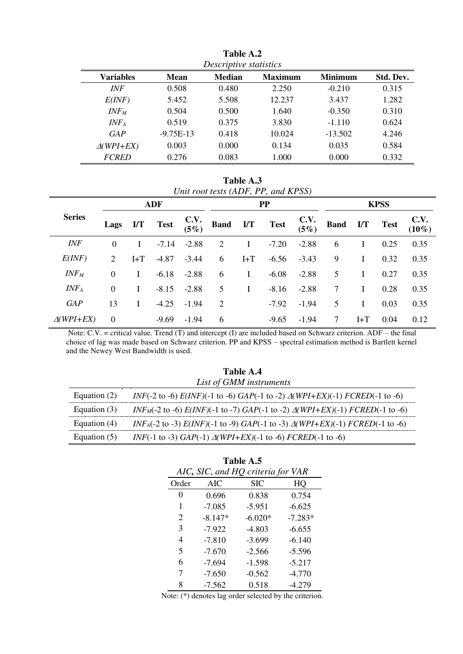|                   | 1 W.J.V 1 1 M.<br>Descriptive statistics |               |                |                |           |  |
|-------------------|------------------------------------------|---------------|----------------|----------------|-----------|--|
| <b>Variables</b>  | Mean                                     | <b>Median</b> | <b>Maximum</b> | <b>Minimum</b> | Std. Dev. |  |
| <b>INF</b>        | 0.508                                    | 0.480         | 2.250          | $-0.210$       | 0.315     |  |
| E(INF)            | 5.452                                    | 5.508         | 12.237         | 3.437          | 1.282     |  |
| $INF_M$           | 0.504                                    | 0.500         | 1.640          | $-0.350$       | 0.310     |  |
| $INF_A$           | 0.519                                    | 0.375         | 3.830          | $-1.110$       | 0.624     |  |
| GAP               | $-9.75E-13$                              | 0.418         | 10.024         | $-13.502$      | 4.246     |  |
| $\Delta$ (WPI+EX) | 0.003                                    | 0.000         | 0.134          | 0.035          | 0.584     |  |
| <b>FCRED</b>      | 0.276                                    | 0.083         | 1.000          | 0.000          | 0.332     |  |

**Table A.2** 

**Table A.3**  *Unit root tests (ADF, PP, and KPSS)* 

|                  | <b>ADF</b>     |                         |             | PP           |          |          | <b>KPSS</b> |              |             |                         |             |                  |
|------------------|----------------|-------------------------|-------------|--------------|----------|----------|-------------|--------------|-------------|-------------------------|-------------|------------------|
| <b>Series</b>    | Lags           | $\mathbf{I}/\mathbf{T}$ | <b>Test</b> | C.V.<br>(5%) | Band I/T |          | <b>Test</b> | C.V.<br>(5%) | <b>Band</b> | $\mathbf{I}/\mathbf{T}$ | <b>Test</b> | C.V.<br>$(10\%)$ |
| <b>INF</b>       | $\Omega$       |                         | $-7.14$     | $-2.88$      | 2        |          | $-7.20$     | $-2.88$      | 6           |                         | 0.25        | 0.35             |
| E(INF)           | 2              | $I+T$                   | $-4.87$     | $-3.44$      | 6        | $I + T$  | $-6.56$     | $-3.43$      | 9           |                         | 0.32        | 0.35             |
| INF <sub>M</sub> | $\Omega$       |                         | $-6.18$     | $-2.88$      | 6        | I        | $-6.08$     | $-2.88$      | 5           |                         | 0.27        | 0.35             |
| $INF_A$          | $\overline{0}$ | L                       | $-8.15$     | $-2.88$      | 5        | $\bf{I}$ | $-8.16$     | $-2.88$      | 7           |                         | 0.28        | 0.35             |
| <b>GAP</b>       | 13             | L                       | $-4.25$     | $-1.94$      | 2        |          | $-7.92$     | $-1.94$      | 5           |                         | 0.03        | 0.35             |
| $\Delta(WPI+EX)$ | $\theta$       |                         | $-9.69$     | $-1.94$      | 6        |          | $-9.65$     | $-1.94$      | 7           | $I+T$                   | 0.04        | 0.12             |

 Note: C.V. = critical value. Trend (T) and intercept (I) are included based on Schwarz criterion. ADF – the final choice of lag was made based on Schwarz criterion. PP and KPSS – spectral estimation method is Bartlett kernel and the Newey West Bandwidth is used.

| Table A.4      |                                                                                                                     |  |  |  |
|----------------|---------------------------------------------------------------------------------------------------------------------|--|--|--|
|                | List of GMM instruments                                                                                             |  |  |  |
| Equation $(2)$ | <i>INF</i> (-2 to -6) $E(INF)$ (-1 to -6) $GAP$ (-1 to -2) $\triangle (WPI + EX)$ (-1) $FCRED$ (-1 to -6)           |  |  |  |
| Equation $(3)$ | $INF_M(-2 \text{ to } -6) E(INF)$ (-1 to -7) $GAP(-1 \text{ to } -2) \Delta(WPI + EX)(-1) FCRED(-1 \text{ to } -6)$ |  |  |  |
| Equation $(4)$ | <i>INF<sub>A</sub></i> (-2 to -3) $E(INF)(-1$ to -9) $GAP(-1$ to -3) $\triangle (WPI + EX)(-1)$ $FCRED(-1$ to -6)   |  |  |  |
| Equation $(5)$ | <i>INF</i> (-1 to -3) <i>GAP</i> (-1) $\triangle$ ( <i>WPI+EX</i> )(-1 to -6) <i>FCRED</i> (-1 to -6)               |  |  |  |

| Table A.5 |           |                                   |           |  |  |
|-----------|-----------|-----------------------------------|-----------|--|--|
|           |           | AIC, SIC, and HQ criteria for VAR |           |  |  |
| Order     | AIC       | SIC                               | HO        |  |  |
| 0         | 0.696     | 0.838                             | 0.754     |  |  |
| 1         | $-7.085$  | $-5.951$                          | $-6.625$  |  |  |
| 2         | $-8.147*$ | $-6.020*$                         | $-7.283*$ |  |  |
| 3         | $-7.922$  | $-4.803$                          | $-6.655$  |  |  |
| 4         | $-7.810$  | $-3.699$                          | $-6.140$  |  |  |
| 5         | $-7.670$  | $-2.566$                          | $-5.596$  |  |  |
| 6         | $-7.694$  | $-1.598$                          | $-5.217$  |  |  |
| 7         | $-7.650$  | $-0.562$                          | $-4.770$  |  |  |
| 8         | $-7.562$  | 0.518                             | -4.279    |  |  |

Note: (\*) denotes lag order selected by the criterion.